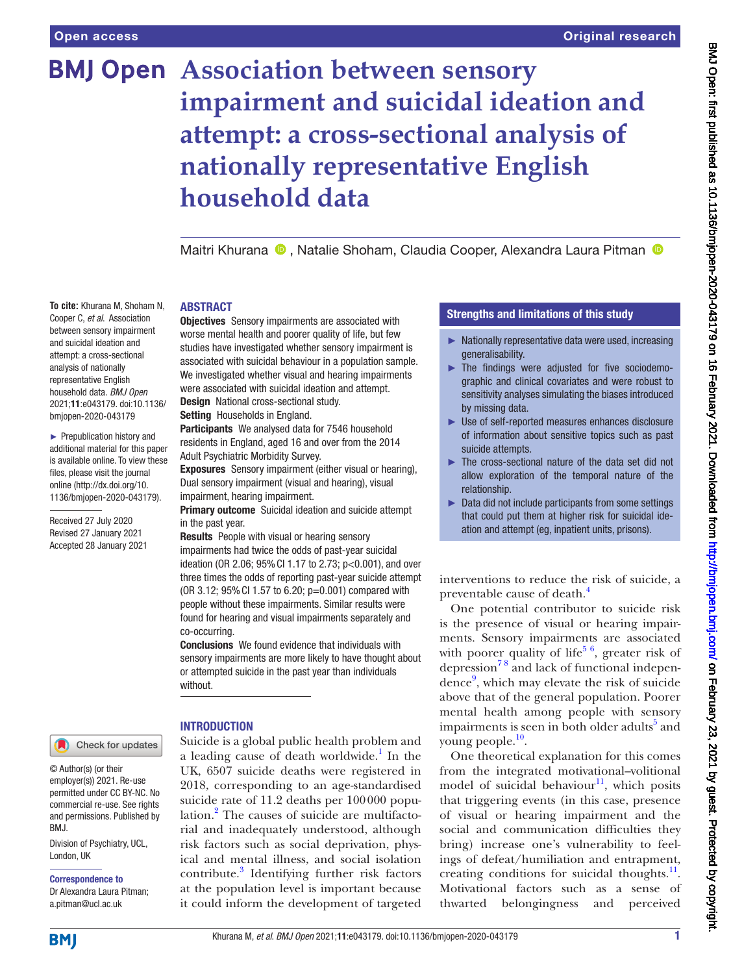**To cite:** Khurana M, Shoham N, Cooper C, *et al*. Association between sensory impairment and suicidal ideation and attempt: a cross-sectional analysis of nationally representative English household data. *BMJ Open* 2021;11:e043179. doi:10.1136/ bmjopen-2020-043179 ► Prepublication history and additional material for this paper is available online. To view these files, please visit the journal online (http://dx.doi.org/10. 1136/bmjopen-2020-043179).

Received 27 July 2020 Revised 27 January 2021 Accepted 28 January 2021

# **BMJ Open Association between sensory impairment and suicidal ideation and attempt: a cross-sectional analysis of nationally representative English household data**

Maitri Khurana <sup>®</sup>, Natalie Shoham, Claudia Cooper, Alexandra Laura Pitman <sup>®</sup>

# ABSTRACT

**Objectives** Sensory impairments are associated with worse mental health and poorer quality of life, but few studies have investigated whether sensory impairment is associated with suicidal behaviour in a population sample. We investigated whether visual and hearing impairments were associated with suicidal ideation and attempt. Design National cross-sectional study.

Setting Households in England.

Participants We analysed data for 7546 household residents in England, aged 16 and over from the 2014 Adult Psychiatric Morbidity Survey.

Exposures Sensory impairment (either visual or hearing), Dual sensory impairment (visual and hearing), visual impairment, hearing impairment.

**Primary outcome** Suicidal ideation and suicide attempt in the past year.

Results People with visual or hearing sensory impairments had twice the odds of past-year suicidal ideation (OR 2.06; 95%CI 1.17 to 2.73; p<0.001), and over three times the odds of reporting past-year suicide attempt (OR 3.12; 95%CI 1.57 to 6.20; p=0.001) compared with people without these impairments. Similar results were found for hearing and visual impairments separately and co-occurring.

Conclusions We found evidence that individuals with sensory impairments are more likely to have thought about or attempted suicide in the past year than individuals without.

# **INTRODUCTION**

Suicide is a global public health problem and a leading cause of death worldwide.<sup>[1](#page-8-0)</sup> In the UK, 6507 suicide deaths were registered in 2018, corresponding to an age-standardised suicide rate of 11.2 deaths per 100000 popu-lation.<sup>[2](#page-8-1)</sup> The causes of suicide are multifactorial and inadequately understood, although risk factors such as social deprivation, physical and mental illness, and social isolation contribute.<sup>[3](#page-8-2)</sup> Identifying further risk factors at the population level is important because it could inform the development of targeted

## Strengths and limitations of this study

- ► Nationally representative data were used, increasing generalisability.
- ► The findings were adjusted for five sociodemographic and clinical covariates and were robust to sensitivity analyses simulating the biases introduced by missing data.
- ► Use of self-reported measures enhances disclosure of information about sensitive topics such as past suicide attempts.
- ► The cross-sectional nature of the data set did not allow exploration of the temporal nature of the relationship.
- ► Data did not include participants from some settings that could put them at higher risk for suicidal ideation and attempt (eg, inpatient units, prisons).

interventions to reduce the risk of suicide, a preventable cause of death.[4](#page-8-3)

One potential contributor to suicide risk is the presence of visual or hearing impairments. Sensory impairments are associated with poorer quality of life<sup>5  $6$ </sup>, greater risk of depression[7 8](#page-8-5) and lack of functional indepen-dence<sup>[9](#page-8-6)</sup>, which may elevate the risk of suicide above that of the general population. Poorer mental health among people with sensory impairments is seen in both older adults<sup>5</sup> and young people. $10$ .

One theoretical explanation for this comes from the integrated motivational–volitional model of suicidal behaviour $11$ , which posits that triggering events (in this case, presence of visual or hearing impairment and the social and communication difficulties they bring) increase one's vulnerability to feelings of defeat/humiliation and entrapment, creating conditions for suicidal thoughts. $11$ . Motivational factors such as a sense of thwarted belongingness and perceived

# **BMI**

London, UK

BMJ.

Division of Psychiatry, UCL,

Correspondence to Dr Alexandra Laura Pitman; a.pitman@ucl.ac.uk

© Author(s) (or their employer(s)) 2021. Re-use permitted under CC BY-NC. No commercial re-use. See rights and permissions. Published by

Check for updates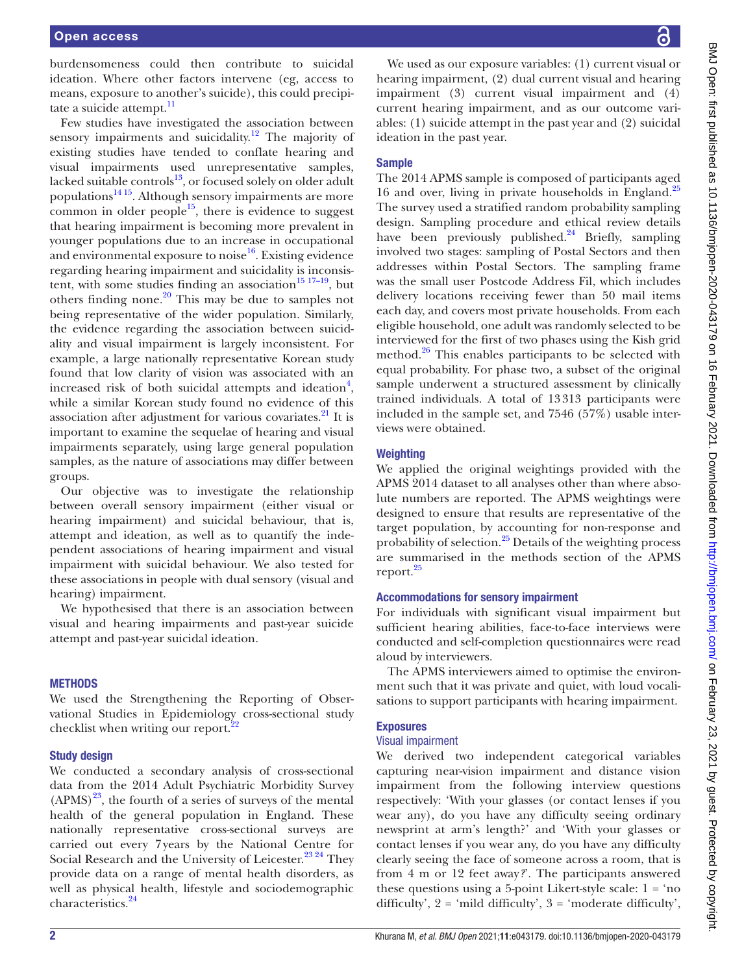burdensomeness could then contribute to suicidal ideation. Where other factors intervene (eg, access to means, exposure to another's suicide), this could precipitate a suicide attempt.<sup>11</sup>

Few studies have investigated the association between sensory impairments and suicidality.<sup>12</sup> The majority of existing studies have tended to conflate hearing and visual impairments used unrepresentative samples, lacked suitable controls $^{13}$ , or focused solely on older adult population[s14 15.](#page-9-3) Although sensory impairments are more common in older people<sup>15</sup>, there is evidence to suggest that hearing impairment is becoming more prevalent in younger populations due to an increase in occupational and environmental exposure to noise<sup>16</sup>. Existing evidence regarding hearing impairment and suicidality is inconsistent, with some studies finding an association<sup>15 17–19</sup>, but others finding none. $2^0$  This may be due to samples not being representative of the wider population. Similarly, the evidence regarding the association between suicidality and visual impairment is largely inconsistent. For example, a large nationally representative Korean study found that low clarity of vision was associated with an increased risk of both suicidal attempts and ideation<sup>4</sup>, while a similar Korean study found no evidence of this association after adjustment for various covariates.<sup>21</sup> It is important to examine the sequelae of hearing and visual impairments separately, using large general population samples, as the nature of associations may differ between groups.

Our objective was to investigate the relationship between overall sensory impairment (either visual or hearing impairment) and suicidal behaviour, that is, attempt and ideation, as well as to quantify the independent associations of hearing impairment and visual impairment with suicidal behaviour. We also tested for these associations in people with dual sensory (visual and hearing) impairment.

We hypothesised that there is an association between visual and hearing impairments and past-year suicide attempt and past-year suicidal ideation.

#### **METHODS**

We used the Strengthening the Reporting of Observational Studies in Epidemiology cross-sectional study checklist when writing our report.<sup>[22](#page-9-8)</sup>

#### Study design

We conducted a secondary analysis of cross-sectional data from the 2014 Adult Psychiatric Morbidity Survey  $(APMS)<sup>23</sup>$ , the fourth of a series of surveys of the mental health of the general population in England. These nationally representative cross-sectional surveys are carried out every 7years by the National Centre for Social Research and the University of Leicester.<sup>23, 24</sup> They provide data on a range of mental health disorders, as well as physical health, lifestyle and sociodemographic characteristics.<sup>[24](#page-9-10)</sup>

We used as our exposure variables: (1) current visual or hearing impairment, (2) dual current visual and hearing impairment (3) current visual impairment and (4) current hearing impairment, and as our outcome variables: (1) suicide attempt in the past year and (2) suicidal ideation in the past year.

## Sample

The 2014 APMS sample is composed of participants aged 16 and over, living in private households in England.<sup>[25](#page-9-11)</sup> The survey used a stratified random probability sampling design. Sampling procedure and ethical review details have been previously published. $24$  Briefly, sampling involved two stages: sampling of Postal Sectors and then addresses within Postal Sectors. The sampling frame was the small user Postcode Address Fil, which includes delivery locations receiving fewer than 50 mail items each day, and covers most private households. From each eligible household, one adult was randomly selected to be interviewed for the first of two phases using the Kish grid method.<sup>26</sup> This enables participants to be selected with equal probability. For phase two, a subset of the original sample underwent a structured assessment by clinically trained individuals. A total of 13313 participants were included in the sample set, and 7546 (57%) usable interviews were obtained.

#### **Weighting**

We applied the original weightings provided with the APMS 2014 dataset to all analyses other than where absolute numbers are reported. The APMS weightings were designed to ensure that results are representative of the target population, by accounting for non-response and probability of selection.<sup>25</sup> Details of the weighting process are summarised in the methods section of the APMS report.<sup>[25](#page-9-11)</sup>

#### Accommodations for sensory impairment

For individuals with significant visual impairment but sufficient hearing abilities, face-to-face interviews were conducted and self-completion questionnaires were read aloud by interviewers.

The APMS interviewers aimed to optimise the environment such that it was private and quiet, with loud vocalisations to support participants with hearing impairment.

## Exposures

#### Visual impairment

We derived two independent categorical variables capturing near-vision impairment and distance vision impairment from the following interview questions respectively: 'With your glasses (or contact lenses if you wear any), do you have any difficulty seeing ordinary newsprint at arm's length?' and 'With your glasses or contact lenses if you wear any, do you have any difficulty clearly seeing the face of someone across a room, that is from 4 m or 12 feet away*?*'. The participants answered these questions using a 5-point Likert-style scale:  $1 = 'no$ difficulty',  $2 = \text{ 'mild difficulty'}, 3 = \text{ 'moderate difficulty'},$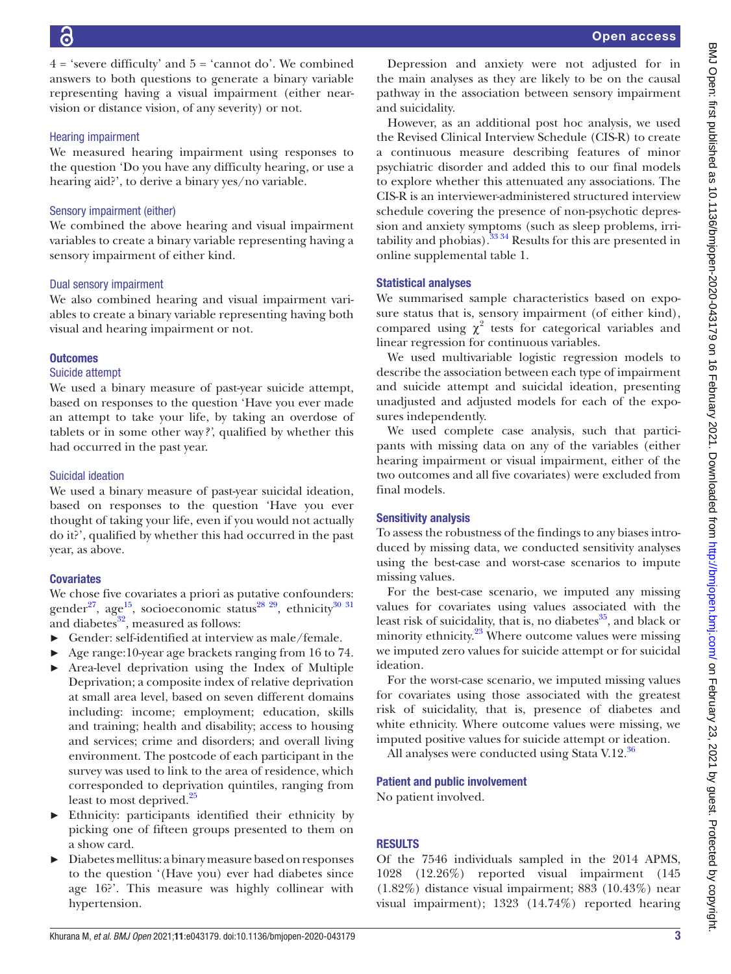Open access

 $4 = 'severe$  difficulty' and  $5 = 'cannot$  do'. We combined answers to both questions to generate a binary variable representing having a visual impairment (either nearvision or distance vision, of any severity) or not.

## Hearing impairment

We measured hearing impairment using responses to the question 'Do you have any difficulty hearing, or use a hearing aid?', to derive a binary yes/no variable.

# Sensory impairment (either)

We combined the above hearing and visual impairment variables to create a binary variable representing having a sensory impairment of either kind.

# Dual sensory impairment

We also combined hearing and visual impairment variables to create a binary variable representing having both visual and hearing impairment or not.

# **Outcomes**

## Suicide attempt

We used a binary measure of past-year suicide attempt, based on responses to the question 'Have you ever made an attempt to take your life, by taking an overdose of tablets or in some other way*?'*, qualified by whether this had occurred in the past year.

# Suicidal ideation

We used a binary measure of past-year suicidal ideation, based on responses to the question 'Have you ever thought of taking your life, even if you would not actually do it?', qualified by whether this had occurred in the past year, as above.

# **Covariates**

We chose five covariates a priori as putative confounders: gender<sup>27</sup>, age<sup>15</sup>, socioeconomic status<sup>28 29</sup>, ethnicity<sup>30 31</sup> and diabetes $^{32}$  $^{32}$  $^{32}$ , measured as follows:

- Gender: self-identified at interview as male/female.
- ► Age range:10-year age brackets ranging from 16 to 74.
- Area-level deprivation using the Index of Multiple Deprivation; a composite index of relative deprivation at small area level, based on seven different domains including: income; employment; education, skills and training; health and disability; access to housing and services; crime and disorders; and overall living environment. The postcode of each participant in the survey was used to link to the area of residence, which corresponded to deprivation quintiles, ranging from least to most deprived.<sup>[25](#page-9-11)</sup>
- Ethnicity: participants identified their ethnicity by picking one of fifteen groups presented to them on a show card.
- ► Diabetes mellitus: a binary measure based on responses to the question '(Have you) ever had diabetes since age 16?'. This measure was highly collinear with hypertension.

Depression and anxiety were not adjusted for in the main analyses as they are likely to be on the causal pathway in the association between sensory impairment and suicidality.

However, as an additional post hoc analysis, we used the Revised Clinical Interview Schedule (CIS-R) to create a continuous measure describing features of minor psychiatric disorder and added this to our final models to explore whether this attenuated any associations. The CIS-R is an interviewer-administered structured interview schedule covering the presence of non-psychotic depression and anxiety symptoms (such as sleep problems, irritability and phobias). $3334$  Results for this are presented in [online supplemental table 1.](https://dx.doi.org/10.1136/bmjopen-2020-043179)

# Statistical analyses

We summarised sample characteristics based on exposure status that is, sensory impairment (of either kind), compared using  $\chi^2$  tests for categorical variables and linear regression for continuous variables.

We used multivariable logistic regression models to describe the association between each type of impairment and suicide attempt and suicidal ideation, presenting unadjusted and adjusted models for each of the exposures independently.

We used complete case analysis, such that participants with missing data on any of the variables (either hearing impairment or visual impairment, either of the two outcomes and all five covariates) were excluded from final models.

## Sensitivity analysis

To assess the robustness of the findings to any biases introduced by missing data, we conducted sensitivity analyses using the best-case and worst-case scenarios to impute missing values.

For the best-case scenario, we imputed any missing values for covariates using values associated with the least risk of suicidality, that is, no diabetes $^{35}$ , and black or minority ethnicity.<sup>23</sup> Where outcome values were missing we imputed zero values for suicide attempt or for suicidal ideation.

For the worst-case scenario, we imputed missing values for covariates using those associated with the greatest risk of suicidality, that is, presence of diabetes and white ethnicity. Where outcome values were missing, we imputed positive values for suicide attempt or ideation.

All analyses were conducted using Stata V.12.<sup>[36](#page-9-19)</sup>

## Patient and public involvement

No patient involved.

# RESULTS

Of the 7546 individuals sampled in the 2014 APMS, 1028 (12.26%) reported visual impairment (145 (1.82%) distance visual impairment; 883 (10.43%) near visual impairment); 1323 (14.74%) reported hearing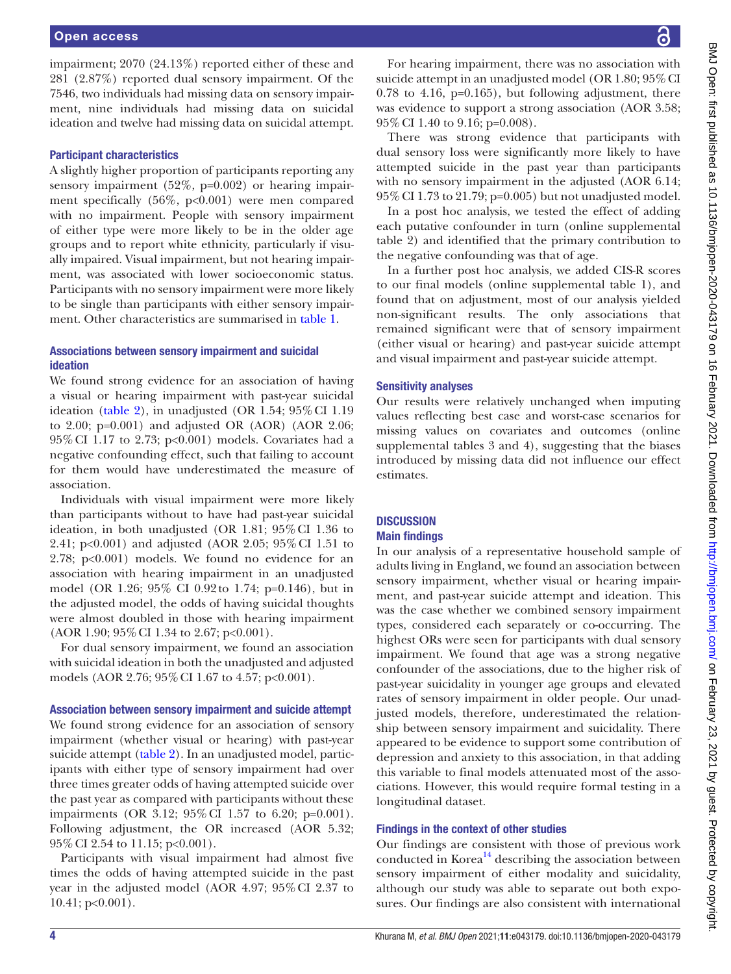impairment; 2070 (24.13%) reported either of these and 281 (2.87%) reported dual sensory impairment. Of the 7546, two individuals had missing data on sensory impairment, nine individuals had missing data on suicidal ideation and twelve had missing data on suicidal attempt.

#### Participant characteristics

A slightly higher proportion of participants reporting any sensory impairment (52%, p=0.002) or hearing impairment specifically (56%, p<0.001) were men compared with no impairment. People with sensory impairment of either type were more likely to be in the older age groups and to report white ethnicity, particularly if visually impaired. Visual impairment, but not hearing impairment, was associated with lower socioeconomic status. Participants with no sensory impairment were more likely to be single than participants with either sensory impairment. Other characteristics are summarised in [table](#page-4-0) 1.

#### Associations between sensory impairment and suicidal ideation

We found strong evidence for an association of having a visual or hearing impairment with past-year suicidal ideation [\(table](#page-6-0) 2), in unadjusted (OR 1.54;  $95\%$  CI 1.19 to 2.00; p=0.001) and adjusted OR (AOR) (AOR 2.06; 95%CI 1.17 to 2.73; p<0.001) models. Covariates had a negative confounding effect, such that failing to account for them would have underestimated the measure of association.

Individuals with visual impairment were more likely than participants without to have had past-year suicidal ideation, in both unadjusted (OR 1.81; 95%CI 1.36 to 2.41; p<0.001) and adjusted (AOR 2.05; 95%CI 1.51 to 2.78; p<0.001) models. We found no evidence for an association with hearing impairment in an unadjusted model (OR 1.26; 95% CI 0.92to 1.74; p=0.146), but in the adjusted model, the odds of having suicidal thoughts were almost doubled in those with hearing impairment (AOR 1.90; 95%CI 1.34 to 2.67; p<0.001).

For dual sensory impairment, we found an association with suicidal ideation in both the unadjusted and adjusted models (AOR 2.76; 95%CI 1.67 to 4.57; p<0.001).

#### Association between sensory impairment and suicide attempt

We found strong evidence for an association of sensory impairment (whether visual or hearing) with past-year suicide attempt ([table](#page-6-0) 2). In an unadjusted model, participants with either type of sensory impairment had over three times greater odds of having attempted suicide over the past year as compared with participants without these impairments (OR 3.12; 95%CI 1.57 to 6.20; p=0.001). Following adjustment, the OR increased (AOR 5.32; 95%CI 2.54 to 11.15; p<0.001).

Participants with visual impairment had almost five times the odds of having attempted suicide in the past year in the adjusted model (AOR 4.97; 95%CI 2.37 to 10.41; p<0.001).

For hearing impairment, there was no association with suicide attempt in an unadjusted model (OR 1.80; 95% CI  $0.78$  to  $4.16$ ,  $p=0.165$ ), but following adjustment, there was evidence to support a strong association (AOR 3.58; 95%CI 1.40 to 9.16; p=0.008).

There was strong evidence that participants with dual sensory loss were significantly more likely to have attempted suicide in the past year than participants with no sensory impairment in the adjusted (AOR 6.14; 95%CI 1.73 to 21.79; p=0.005) but not unadjusted model.

In a post hoc analysis, we tested the effect of adding each putative confounder in turn ([online supplemental](https://dx.doi.org/10.1136/bmjopen-2020-043179)  [table 2\)](https://dx.doi.org/10.1136/bmjopen-2020-043179) and identified that the primary contribution to the negative confounding was that of age.

In a further post hoc analysis, we added CIS-R scores to our final models ([online supplemental table 1](https://dx.doi.org/10.1136/bmjopen-2020-043179)), and found that on adjustment, most of our analysis yielded non-significant results. The only associations that remained significant were that of sensory impairment (either visual or hearing) and past-year suicide attempt and visual impairment and past-year suicide attempt.

#### Sensitivity analyses

Our results were relatively unchanged when imputing values reflecting best case and worst-case scenarios for missing values on covariates and outcomes ([online](https://dx.doi.org/10.1136/bmjopen-2020-043179)  [supplemental tables 3 and 4\)](https://dx.doi.org/10.1136/bmjopen-2020-043179), suggesting that the biases introduced by missing data did not influence our effect estimates.

#### **DISCUSSION** Main findings

In our analysis of a representative household sample of adults living in England, we found an association between sensory impairment, whether visual or hearing impairment, and past-year suicide attempt and ideation. This was the case whether we combined sensory impairment types, considered each separately or co-occurring. The highest ORs were seen for participants with dual sensory impairment. We found that age was a strong negative confounder of the associations, due to the higher risk of past-year suicidality in younger age groups and elevated rates of sensory impairment in older people. Our unadjusted models, therefore, underestimated the relationship between sensory impairment and suicidality. There appeared to be evidence to support some contribution of depression and anxiety to this association, in that adding this variable to final models attenuated most of the associations. However, this would require formal testing in a longitudinal dataset.

#### Findings in the context of other studies

Our findings are consistent with those of previous work conducted in Korea $^{14}$  describing the association between sensory impairment of either modality and suicidality, although our study was able to separate out both exposures. Our findings are also consistent with international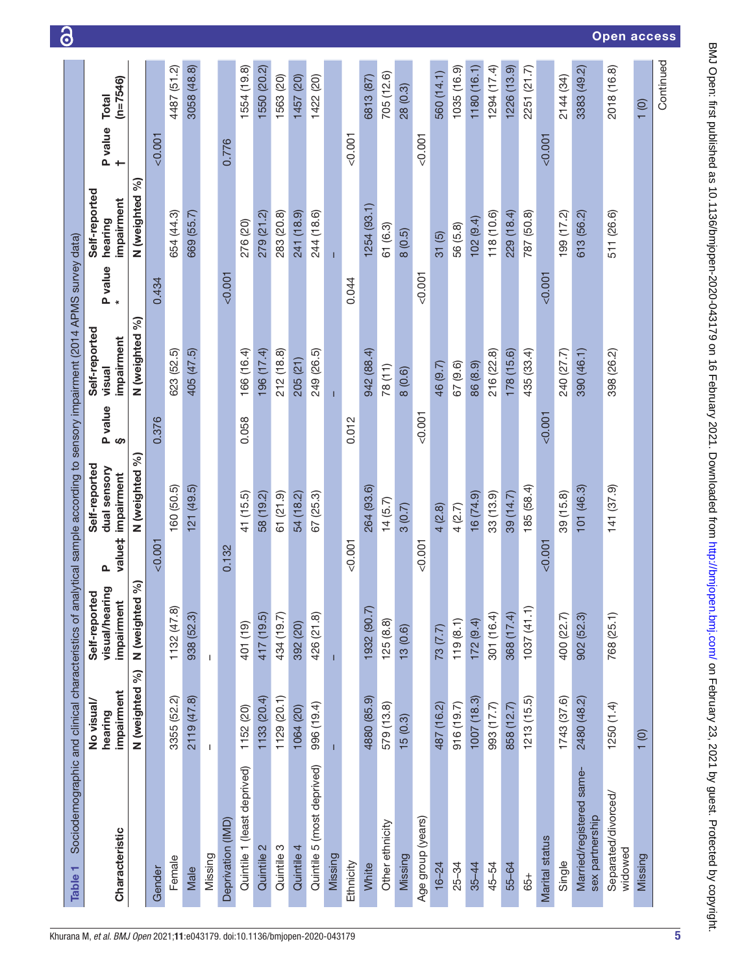<span id="page-4-0"></span>

| Table <sub>1</sub>                          |                                     |                                               | Sociodemographic and clinical characteristics of analytical sample according to sensory impairment (2014 APMS survey data) |              |                                       |         |                                        |                    |             |
|---------------------------------------------|-------------------------------------|-----------------------------------------------|----------------------------------------------------------------------------------------------------------------------------|--------------|---------------------------------------|---------|----------------------------------------|--------------------|-------------|
| Characteristic                              | impairment<br>No visual/<br>hearing | visual/hearing<br>Self-reported<br>impairment | Self-reported<br>dual sensory<br>impairment<br>value‡<br>$\mathbf{a}$                                                      | P value<br>§ | Self-reported<br>impairment<br>visual | P value | Self-reported<br>impairment<br>hearing | P value Total<br>† | $(n=7546)$  |
|                                             | N (weighted %)                      | 8<br>N (weighted                              | N (weighted %)                                                                                                             |              | N (weighted %)                        |         | N (weighted %)                         |                    |             |
| Gender                                      |                                     |                                               | < 0.001                                                                                                                    | 0.376        |                                       | 0.434   |                                        | 0.001              |             |
| Female                                      | 3355 (52.2)                         | 1132(47.8)                                    | 160 (50.5)                                                                                                                 |              | 623 (52.5)                            |         | 654 (44.3)                             |                    | 4487 (51.2) |
| Male                                        | 2119 (47.8)                         | 938 (52.3)                                    | 121(49.5)                                                                                                                  |              | 405 (47.5)                            |         | 669 (55.7)                             |                    | 3058 (48.8) |
| Missing                                     | $\mathsf I$                         | T                                             |                                                                                                                            |              |                                       |         |                                        |                    |             |
| Deprivation (IMD)                           |                                     |                                               | 0.132                                                                                                                      |              |                                       | < 0.001 |                                        | 0.776              |             |
| Quintile 1 (least deprived)                 | 1152 (20)                           | 401 (19)                                      | 41 (15.5)                                                                                                                  | 0.058        | 166 (16.4)                            |         | 276 (20)                               |                    | 1554 (19.8) |
| Quintile 2                                  | 1133 (20.4)                         | 417 (19.5)                                    | 58 (19.2)                                                                                                                  |              | 196 (17.4)                            |         | 279 (21.2)                             |                    | 1550 (20.2) |
| Quintile 3                                  | 1129 (20.1)                         | 434 (19.7)                                    | 61(21.9)                                                                                                                   |              | 212 (18.8)                            |         | 283 (20.8)                             |                    | 1563 (20)   |
| Quintile 4                                  | 1064 (20)                           | 392 (20)                                      | 54 (18.2)                                                                                                                  |              | 205 (21)                              |         | 241 (18.9)                             |                    | 1457 (20)   |
| Quintile 5 (most deprived)                  | 996 (19.4)                          | 426 (21.8)                                    | 67(25.3)                                                                                                                   |              | 249 (26.5)                            |         | 244 (18.6)                             |                    | 1422 (20)   |
| Missing                                     |                                     |                                               |                                                                                                                            |              |                                       |         | $\mathbf{I}$                           |                    |             |
| Ethnicity                                   |                                     |                                               | < 0.001                                                                                                                    | 0.012        |                                       | 0.044   |                                        | < 0.001            |             |
| White                                       | 4880 (85.9)                         | 1932 (90.7)                                   | 264 (93.6)                                                                                                                 |              | 942 (88.4)                            |         | 1254 (93.1)                            |                    | 6813 (87)   |
| Other ethnicity                             | 579 (13.8)                          | 125(8.8)                                      | 14(5.7)                                                                                                                    |              | 78 (11)                               |         | 61 (6.3)                               |                    | 705 (12.6)  |
| Missing                                     | 15(0.3)                             | 13(0.6)                                       | 3(0.7)                                                                                                                     |              | 8(0.6)                                |         | 8(0.5)                                 |                    | 28 (0.3)    |
| Age group (years)                           |                                     |                                               | < 0.001                                                                                                                    | < 0.001      |                                       | < 0.001 |                                        | < 0.001            |             |
| $16 - 24$                                   | 487 (16.2)                          | 73(7.7)                                       | 4(2.8)                                                                                                                     |              | 46 (9.7)                              |         | 31(5)                                  |                    | 560 (14.1)  |
| 25-34                                       | 916 (19.7)                          | 119(8.1)                                      | 4 (2.7)                                                                                                                    |              | 67 (9.6)                              |         | 56 (5.8)                               |                    | 1035 (16.9) |
| $35 - 44$                                   | 1007(18.3)                          | 172(9.4)                                      | (6(74.9))                                                                                                                  |              | 86 (8.9)                              |         | 102(9.4)                               |                    | 1180 (16.1) |
| 45-54                                       | 993 (17.7)                          | 301 (16.4)                                    | 33(13.9)                                                                                                                   |              | 216 (22.8)                            |         | 118 (10.6)                             |                    | 1294 (17.4) |
| 55-64                                       | 858 (12.7)                          | 368 (17.4)                                    | 39 (14.7)                                                                                                                  |              | 178(15.6)                             |         | 229 (18.4)                             |                    | 1226 (13.9) |
| 65+                                         | 1213(15.5)                          | $(1.1)$ (41.1)                                | 185 (58.4)                                                                                                                 |              | 435 (33.4)                            |         | 787 (50.8)                             |                    | 2251 (21.7) |
| <b>Marital status</b>                       |                                     |                                               | < 0.001                                                                                                                    | < 0.001      |                                       | 0.001   |                                        | 0.001              |             |
| Single                                      | 1743 (37.6)                         | 400 (22.7)                                    | 39 (15.8)                                                                                                                  |              | 240 (27.7)                            |         | 199 (17.2)                             |                    | 2144 (34)   |
| Married/registered same-<br>sex partnership | 2480 (48.2)                         | 902 (52.3)                                    | 101 (46.3)                                                                                                                 |              | 390 (46.1)                            |         | 613 (56.2)                             |                    | 3383 (49.2) |
| Separated/divorced/<br>widowed              | 1250(1.4)                           | 768 (25.1)                                    | 141(37.9)                                                                                                                  |              | 398 (26.2)                            |         | 511 (26.6)                             |                    | 2018 (16.8) |
| Missing                                     | 1(0)                                |                                               |                                                                                                                            |              |                                       |         |                                        |                    | 1(0)        |
|                                             |                                     |                                               |                                                                                                                            |              |                                       |         |                                        |                    | Continued   |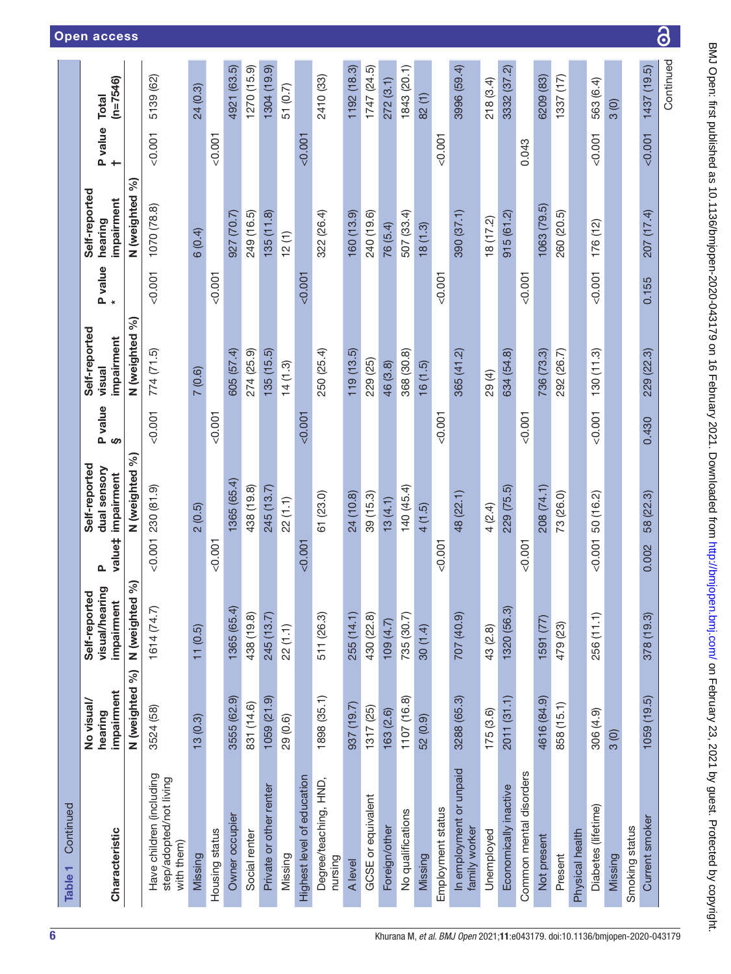| Continued<br>Table <sub>1</sub>                                   |                                     |                                               |                                                                       |               |                                       |         |                                        |                                            |                            |
|-------------------------------------------------------------------|-------------------------------------|-----------------------------------------------|-----------------------------------------------------------------------|---------------|---------------------------------------|---------|----------------------------------------|--------------------------------------------|----------------------------|
| Characteristic                                                    | impairment<br>No visual/<br>hearing | visual/hearing<br>Self-reported<br>impairment | Self-reported<br>dual sensory<br>impairment<br>value‡<br>$\mathbf{a}$ | P value<br>ဖာ | Self-reported<br>impairment<br>visual | P value | Self-reported<br>impairment<br>hearing | <b>P</b> value<br>$\overline{\phantom{0}}$ | $(n=7546)$<br><b>Total</b> |
|                                                                   | N (weighted %)                      | N (weighted %)                                | N (weighted %)                                                        |               | N (weighted %)                        |         | N (weighted %)                         |                                            |                            |
| Have children (including<br>step/adopted/not living<br>with them) | 3524 (58)                           | 1614 (74.7)                                   | 230 (81.9)<br>0.001                                                   | 0.001         | 774(71.5)                             | 0.001   | 1070 (78.8)                            | 0.001                                      | 5139 (62)                  |
| Missing                                                           | 13(0.3)                             | 11(0.5)                                       | 2(0.5)                                                                |               | 7(0.6)                                |         | 6(0.4)                                 |                                            | 24 (0.3)                   |
| Housing status                                                    |                                     |                                               | &0.001                                                                | 0.001         |                                       | < 0.001 |                                        | 0.001                                      |                            |
| Owner occupier                                                    | 3555 (62.9)                         | 1365 (65.4)                                   | 1365 (65.4)                                                           |               | 605 (57.4)                            |         | 927 (70.7)                             |                                            | 4921 (63.5)                |
| Social renter                                                     | 831 (14.6)                          | 438 (19.8)                                    | 438 (19.8)                                                            |               | 274 (25.9)                            |         | 249 (16.5)                             |                                            | 1270 (15.9)                |
| Private or other renter                                           | 1059(21.9)                          | 245 (13.7)                                    | 245 (13.7)                                                            |               | 135(15.5)                             |         | 135(11.8)                              |                                            | 1304 (19.9)                |
| Missing                                                           | 29 (0.6)                            | 22(1.1)                                       | 22 (1.1)                                                              |               | 14(1.3)                               |         | 12(1)                                  |                                            | 51 (0.7)                   |
| Highest level of education                                        |                                     |                                               | < 0.001                                                               | 0.007         |                                       | &0.001  |                                        | &0.001                                     |                            |
| Degree/teaching, HND,<br>pursing                                  | 1898 (35.1)                         | 511 (26.3)                                    | 61 (23.0)                                                             |               | 250 (25.4)                            |         | 322 (26.4)                             |                                            | 2410 (33)                  |
| A level                                                           | 937 (19.7)                          | 255 (14.1)                                    | 24 (10.8)                                                             |               | 119(13.5)                             |         | 160(13.9)                              |                                            | 1192 (18.3)                |
| GCSE or equivalent                                                | 1317 (25)                           | 430 (22.8)                                    | 39 (15.3)                                                             |               | 229 (25)                              |         | 240 (19.6)                             |                                            | 1747(24.5)                 |
| Foreign/other                                                     | 163(2.6)                            | (4.7)                                         | 13(4.1)                                                               |               | 46 (3.8)                              |         | 76 (5.4)                               |                                            | 272(3.1)                   |
| No qualifications                                                 | 1107 (16.8)                         | 735 (30.7)                                    | 140 (45.4)                                                            |               | 368 (30.8)                            |         | 507 (33.4)                             |                                            | 1843 (20.1)                |
| Missing                                                           | 52 (0.9)                            | 30(1.4)                                       | 4(1.5)                                                                |               | 16(1.5)                               |         | 18(1.3)                                |                                            | 82 (1)                     |
| Employment status                                                 |                                     |                                               | $-0.001$                                                              | &0.001        |                                       | &0.001  |                                        | &0.001                                     |                            |
| In employment or unpaid<br>family worker                          | 3288 (65.3)                         | (6.07) 202                                    | 48 (22.1)                                                             |               | 365(41.2)                             |         | 390 (37.1)                             |                                            | 3996 (59.4)                |
| Unemployed                                                        | 175(3.6)                            | 43 (2.8)                                      | 4 (2.4)                                                               |               | 29(4)                                 |         | 18 (17.2)                              |                                            | 218 (3.4)                  |
| Economically inactive                                             | 2011 (31.1)                         | 1320 (56.3)                                   | 229 (75.5)                                                            |               | 634 (54.8)                            |         | 915(61.2)                              |                                            | 3332 (37.2)                |
| Common mental disorders                                           |                                     |                                               | 0.001                                                                 | 0.001         |                                       | 0.001   |                                        | 0.043                                      |                            |
| Not present                                                       | 4616 (84.9)                         | 1591 (77)                                     | 208 (74.1)                                                            |               | 736 (73.3)                            |         | 1063 (79.5)                            |                                            | 6209 (83)                  |
| Present                                                           | 858 (15.1)                          | 479 (23)                                      | 73 (26.0)                                                             |               | 292 (26.7)                            |         | 260 (20.5)                             |                                            | 1337 (17)                  |
| Physical health                                                   |                                     |                                               |                                                                       |               |                                       |         |                                        |                                            |                            |
| Diabetes (lifetime)                                               | 306 (4.9)                           | 256 (11.1)                                    | 50 (16.2)<br>0.001                                                    | 0.001         | 130(11.3)                             | 0.001   | 176(12)                                | $-0.001$                                   | 563 (6.4)                  |
| Missing                                                           | 3(0)                                |                                               |                                                                       |               |                                       |         |                                        |                                            | 3(0)                       |
| Smoking status                                                    |                                     |                                               |                                                                       |               |                                       |         |                                        |                                            |                            |
| Current smoker                                                    | 1059(19.5)                          | 378 (19.3)                                    | 58 (22.3)<br>0.002                                                    | 0.430         | 229 (22.3)                            | 0.155   | 207 (17.4)                             | 0.001                                      | 1437 (19.5)                |
|                                                                   |                                     |                                               |                                                                       |               |                                       |         |                                        |                                            | Continued                  |

 $\overline{\partial}$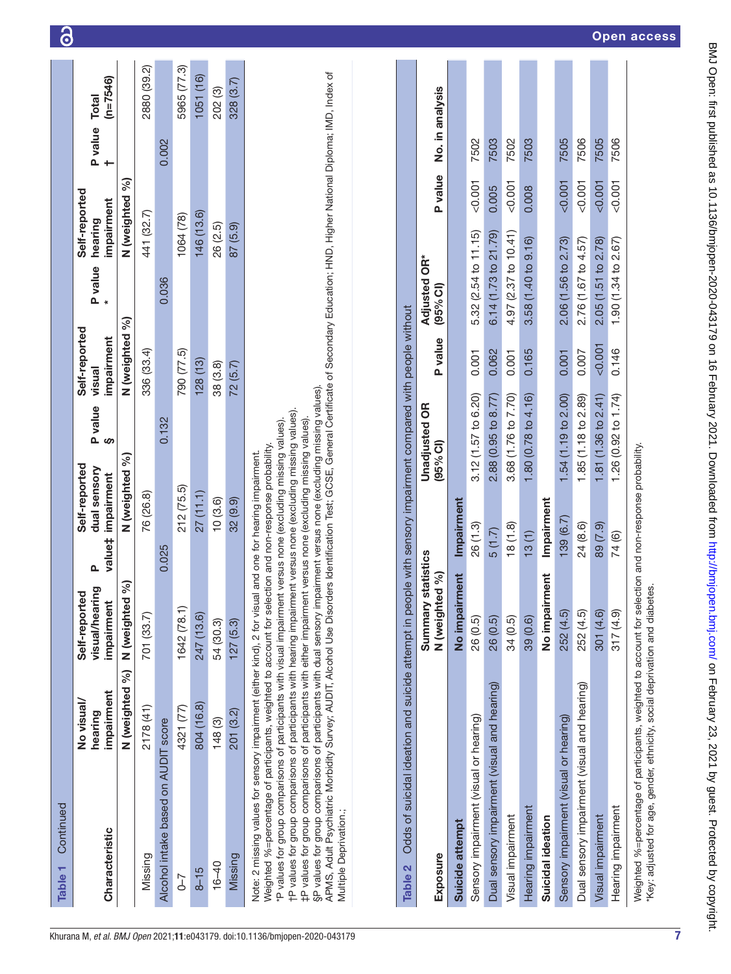| Continued<br>Table <sub>1</sub>                                                                                                                                                                                                                                                                                                                                                                                                                                                                                                                                                                                                                                                                                                                                                                                                                                                                                                           |                                                                                                              |                                               |                                                                   |                                  |                                       |                          |                                        |                      |                 |
|-------------------------------------------------------------------------------------------------------------------------------------------------------------------------------------------------------------------------------------------------------------------------------------------------------------------------------------------------------------------------------------------------------------------------------------------------------------------------------------------------------------------------------------------------------------------------------------------------------------------------------------------------------------------------------------------------------------------------------------------------------------------------------------------------------------------------------------------------------------------------------------------------------------------------------------------|--------------------------------------------------------------------------------------------------------------|-----------------------------------------------|-------------------------------------------------------------------|----------------------------------|---------------------------------------|--------------------------|----------------------------------------|----------------------|-----------------|
| Characteristic                                                                                                                                                                                                                                                                                                                                                                                                                                                                                                                                                                                                                                                                                                                                                                                                                                                                                                                            | impairment<br>No visual/<br>hearing                                                                          | visual/hearing<br>Self-reported<br>impairment | Self-reported<br>dual sensory<br>impairment<br>value <sub>‡</sub> | P value<br>ဖ                     | Self-reported<br>impairment<br>visual | P value                  | Self-reported<br>impairment<br>hearing | <b>P</b> value Total | $(n=7546)$      |
|                                                                                                                                                                                                                                                                                                                                                                                                                                                                                                                                                                                                                                                                                                                                                                                                                                                                                                                                           | N (weighted %)                                                                                               | 8<br>N (weighted                              | N (weighted %)                                                    |                                  | N (weighted %)                        |                          | N (weighted %)                         |                      |                 |
| Missing                                                                                                                                                                                                                                                                                                                                                                                                                                                                                                                                                                                                                                                                                                                                                                                                                                                                                                                                   | 2178 (41)                                                                                                    | 701 (33.7)                                    | 76 (26.8)                                                         |                                  | 336 (33.4)                            |                          | 441 (32.7)                             |                      | 2880 (39.2)     |
| Alcohol intake based on AUDIT score                                                                                                                                                                                                                                                                                                                                                                                                                                                                                                                                                                                                                                                                                                                                                                                                                                                                                                       |                                                                                                              |                                               | 0.025                                                             | 0.132                            |                                       | 0.036                    |                                        | 0.002                |                 |
| $5 - 7$                                                                                                                                                                                                                                                                                                                                                                                                                                                                                                                                                                                                                                                                                                                                                                                                                                                                                                                                   | 4321 (77)                                                                                                    | 1642 (78.1)                                   | 212 (75.5)                                                        |                                  | 790 (77.5)                            |                          | 1064 (78)                              |                      | 5965 (77.3)     |
| $8 - 15$                                                                                                                                                                                                                                                                                                                                                                                                                                                                                                                                                                                                                                                                                                                                                                                                                                                                                                                                  | 804 (16.8)                                                                                                   | 247 (13.6)                                    | 27(11.1)                                                          |                                  | 128(13)                               |                          | 146 (13.6)                             |                      | 1051(16)        |
| $16 - 40$                                                                                                                                                                                                                                                                                                                                                                                                                                                                                                                                                                                                                                                                                                                                                                                                                                                                                                                                 | 148 (3)                                                                                                      | 54 (30.3)                                     | 10(3.6)                                                           |                                  | 38 (3.8)                              |                          | 26 (2.5)                               |                      | 202 (3)         |
| Missing                                                                                                                                                                                                                                                                                                                                                                                                                                                                                                                                                                                                                                                                                                                                                                                                                                                                                                                                   | 201 (3.2)                                                                                                    | 127(5.3)                                      | 32 (9.9)                                                          |                                  | 72(5.7)                               |                          | 87(5.9)                                |                      | 328 (3.7)       |
| APMS, Adult Psychiatric Morbidity Survey; AUDIT, Alcohol Use Disorders Identification Test; GCSE, General Certificate of Secondary Education; HND, Higher National Diploma; IMD, Index of<br>§P values for group comparisons of participants with dual sensory impairment versus none (excluding missing values).<br>fP values for group comparisons of participants with hearing impairment versus none (excluding missing values).<br>‡P values for group comparisons of participants with either impairment versus none (excluding missing values)<br>P values for group comparisons of participants with visual impairment versus none (excluding missing values).<br>Weighted %=percentage of participants, weighted to account for selection and non-response probability.<br>Note: 2 missing values for sensory impairment (either kind), 2 for visual and one for hearing impairment.<br>Multiple Deprivation.;<br><b>Table 2</b> | Odds of suicidal ideation and suicide attempt in people with sensory impairment compared with people without |                                               |                                                                   |                                  |                                       |                          |                                        |                      |                 |
|                                                                                                                                                                                                                                                                                                                                                                                                                                                                                                                                                                                                                                                                                                                                                                                                                                                                                                                                           |                                                                                                              |                                               |                                                                   |                                  |                                       |                          |                                        |                      |                 |
| Exposure                                                                                                                                                                                                                                                                                                                                                                                                                                                                                                                                                                                                                                                                                                                                                                                                                                                                                                                                  |                                                                                                              | N (weighted %)<br>Summary                     | statistics                                                        | <b>Unadjusted OR</b><br>(95% Cl) | P value                               | Adjusted OR*<br>(95% Cl) | P value                                |                      | No. in analysis |
| Suicide attempt                                                                                                                                                                                                                                                                                                                                                                                                                                                                                                                                                                                                                                                                                                                                                                                                                                                                                                                           |                                                                                                              | No impairment                                 | Impairment                                                        |                                  |                                       |                          |                                        |                      |                 |
| Sensory impairment (visual or hearing)                                                                                                                                                                                                                                                                                                                                                                                                                                                                                                                                                                                                                                                                                                                                                                                                                                                                                                    |                                                                                                              | 26 (0.5)                                      | 26 (1.3)                                                          | 3.12 (1.57 to 6.20)              | 0.001                                 | 5.32 (2.54 to 11.15)     | &0.001                                 | 7502                 |                 |
| Dual sensory impairment (visual and hearing)                                                                                                                                                                                                                                                                                                                                                                                                                                                                                                                                                                                                                                                                                                                                                                                                                                                                                              |                                                                                                              | 26 (0.5)                                      | 5(1.7)                                                            | 2.88 (0.95 to 8.77)              | 0.062                                 | 6.14(1.73 to 21.79)      | 0.005                                  | 7503                 |                 |
| Visual impairment                                                                                                                                                                                                                                                                                                                                                                                                                                                                                                                                                                                                                                                                                                                                                                                                                                                                                                                         |                                                                                                              | 34(0.5)                                       | (8(1.8)                                                           | 3.68 (1.76 to 7.70)              | 0.001                                 | 4.97 (2.37 to 10.41)     | < 0.001                                | 7502                 |                 |

<u>ි</u>

7506 7505

7506

7505

 $0.001$  $0.001$  $0.001$  $0.001$ 

2.06 (1.56 to 2.73) 2.76 (1.67 to 4.57) 2.05 (1.51 to 2.78) 1.90 (1.34 to 2.67)

 $0.001$ 

1.81 (1.36 to 2.41) 1.85 (1.18 to 2.89)

0.007 0.001

0.146

1.26 (0.92 to 1.74)

74 (6)

317 (4.9)

Hearing impairment

Visual impairment

7503

0.008

3.58 (1.40 to 9.16)

0.165

1.80 (0.78 to 4.16)

鸟

|                                               | :                        |
|-----------------------------------------------|--------------------------|
|                                               |                          |
|                                               |                          |
|                                               | $\vdots$                 |
|                                               |                          |
|                                               |                          |
|                                               |                          |
|                                               |                          |
|                                               | $\frac{1}{2}$            |
|                                               | $\frac{1}{2}$            |
| י<br>-<br>-                                   |                          |
|                                               | $\overline{\phantom{a}}$ |
|                                               | $\ddot{\phantom{a}}$     |
|                                               |                          |
| <b>1975 - 1976 - 1976 - 1977 - 1977 - 197</b> | )<br>)<br>)              |
|                                               |                          |
| l                                             |                          |
|                                               |                          |
|                                               | $\frac{1}{2}$            |
|                                               |                          |
|                                               |                          |
|                                               | $\vdots$                 |
|                                               | $\frac{1}{2}$            |
|                                               |                          |
|                                               |                          |
| -<br> <br>                                    |                          |
|                                               | ノン<br>フ<br>ワ             |
|                                               |                          |
|                                               |                          |
|                                               |                          |
|                                               |                          |
|                                               |                          |
|                                               |                          |
|                                               |                          |
|                                               |                          |
|                                               |                          |
|                                               |                          |
|                                               |                          |
| I                                             |                          |
|                                               |                          |
|                                               |                          |
| /bmjop                                        |                          |
|                                               |                          |
|                                               |                          |
|                                               |                          |
|                                               |                          |
|                                               |                          |
|                                               |                          |
| $\ddot{\phantom{a}}$<br>֡֡֡֡֡                 | ]<br>-                   |
|                                               |                          |
|                                               |                          |
|                                               |                          |
|                                               | ì                        |
| $1 - 2 = 1$<br>I                              |                          |
|                                               |                          |
|                                               |                          |
|                                               |                          |
|                                               |                          |
|                                               | J                        |
|                                               |                          |
|                                               |                          |
|                                               |                          |
|                                               |                          |
|                                               |                          |
| )<br>)<br>,                                   |                          |
|                                               |                          |
| Ó                                             |                          |

Visual impairment 34 (0.5) 18 (1.8) 3.68 (1.76 to 7.70) 0.001 4.97 (2.37 to 10.41) <0.001 7502 Hearing impairment 39 (0.6) 13 (1) 1.80 (0.78 to 4.16) 0.165 3.58 (1.40 to 9.16) 0.008 7503

 $13(1)$ 

39 (0.6)

<span id="page-6-0"></span>Hearing impairment

Suicidal ideation

Sensory impairment (visual or hearing) 252 (4.5) 139 (6.7) 1.54 (1.19 to 2.00) 0.001 2.06 (1.56 to 2.73) <0.001 7505 Dual sensory impairment (visual and hearing) 252 (4.5) 252 (4.5) 252 (1.185 (1.185 (1.181 to 2.89) 0.007 2.76 (1.67 to 4.57) <0.001 7506 Visual impairment 301 (4.6) 89 (7.9) 1.81 (1.36 to 2.41) <0.001 2.05 (1.51 to 2.78) <0.001 7505 Hearing impairment 317 (4.9) 74 (6) 1.26 (0.92 to 1.74) 0.146 1.90 (1.34 to 2.67) <0.001 7506

24 (8.6) 89 (7.9)

Impairment  $139(6.7)$ 

No impairment

252 (4.5) 252 (4.5) 301 (4.6)

Dual sensory impairment (visual and hearing) Sensory impairment (visual or hearing)

1.54 (1.19 to 2.00)

Suicidal ideation No impairment Impairment

7

Weighted %=percentage of participants, weighted to account for selection and non-response probability.

Weighted %=percentage of participants, weighted to account for selection and non-response probability.

\*Key: adjusted for age, gender, ethnicity, social deprivation and diabetes.

"Key: adjusted for age, gender, ethnicity, social deprivation and diabetes.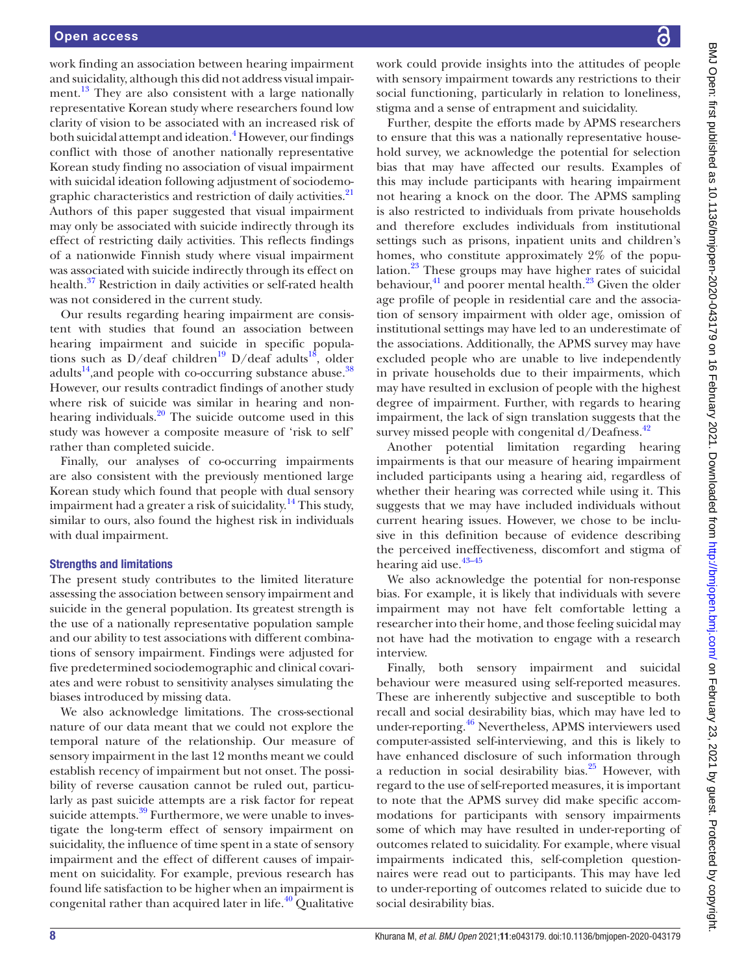work finding an association between hearing impairment and suicidality, although this did not address visual impairment.<sup>13</sup> They are also consistent with a large nationally representative Korean study where researchers found low clarity of vision to be associated with an increased risk of both suicidal attempt and ideation.<sup>[4](#page-8-3)</sup> However, our findings conflict with those of another nationally representative Korean study finding no association of visual impairment with suicidal ideation following adjustment of sociodemographic characteristics and restriction of daily activities.<sup>21</sup> Authors of this paper suggested that visual impairment may only be associated with suicide indirectly through its effect of restricting daily activities. This reflects findings of a nationwide Finnish study where visual impairment was associated with suicide indirectly through its effect on health.<sup>37</sup> Restriction in daily activities or self-rated health was not considered in the current study.

Our results regarding hearing impairment are consistent with studies that found an association between hearing impairment and suicide in specific populations such as D/deaf children<sup>19</sup> D/deaf adults<sup>18</sup>, older adults<sup>14</sup>, and people with co-occurring substance abuse.<sup>38</sup> However, our results contradict findings of another study where risk of suicide was similar in hearing and nonhearing individuals. $20$  The suicide outcome used in this study was however a composite measure of 'risk to self' rather than completed suicide.

Finally, our analyses of co-occurring impairments are also consistent with the previously mentioned large Korean study which found that people with dual sensory impairment had a greater a risk of suicidality.<sup>14</sup> This study, similar to ours, also found the highest risk in individuals with dual impairment.

#### Strengths and limitations

The present study contributes to the limited literature assessing the association between sensory impairment and suicide in the general population. Its greatest strength is the use of a nationally representative population sample and our ability to test associations with different combinations of sensory impairment. Findings were adjusted for five predetermined sociodemographic and clinical covariates and were robust to sensitivity analyses simulating the biases introduced by missing data.

We also acknowledge limitations. The cross-sectional nature of our data meant that we could not explore the temporal nature of the relationship. Our measure of sensory impairment in the last 12 months meant we could establish recency of impairment but not onset. The possibility of reverse causation cannot be ruled out, particularly as past suicide attempts are a risk factor for repeat suicide attempts. $39$  Furthermore, we were unable to investigate the long-term effect of sensory impairment on suicidality, the influence of time spent in a state of sensory impairment and the effect of different causes of impairment on suicidality. For example, previous research has found life satisfaction to be higher when an impairment is congenital rather than acquired later in life.<sup>40</sup> Qualitative

work could provide insights into the attitudes of people with sensory impairment towards any restrictions to their social functioning, particularly in relation to loneliness, stigma and a sense of entrapment and suicidality.

Further, despite the efforts made by APMS researchers to ensure that this was a nationally representative household survey, we acknowledge the potential for selection bias that may have affected our results. Examples of this may include participants with hearing impairment not hearing a knock on the door. The APMS sampling is also restricted to individuals from private households and therefore excludes individuals from institutional settings such as prisons, inpatient units and children's homes, who constitute approximately 2% of the population. $^{23}$  These groups may have higher rates of suicidal behaviour, $^{41}$  and poorer mental health. $^{23}$  Given the older age profile of people in residential care and the association of sensory impairment with older age, omission of institutional settings may have led to an underestimate of the associations. Additionally, the APMS survey may have excluded people who are unable to live independently in private households due to their impairments, which may have resulted in exclusion of people with the highest degree of impairment. Further, with regards to hearing impairment, the lack of sign translation suggests that the survey missed people with congenital  $d/Deafness.<sup>42</sup>$  $d/Deafness.<sup>42</sup>$  $d/Deafness.<sup>42</sup>$ 

Another potential limitation regarding hearing impairments is that our measure of hearing impairment included participants using a hearing aid, regardless of whether their hearing was corrected while using it. This suggests that we may have included individuals without current hearing issues. However, we chose to be inclusive in this definition because of evidence describing the perceived ineffectiveness, discomfort and stigma of hearing aid use.<sup>43-45</sup>

We also acknowledge the potential for non-response bias. For example, it is likely that individuals with severe impairment may not have felt comfortable letting a researcher into their home, and those feeling suicidal may not have had the motivation to engage with a research interview.

Finally, both sensory impairment and suicidal behaviour were measured using self-reported measures. These are inherently subjective and susceptible to both recall and social desirability bias, which may have led to under-reporting.[46](#page-9-29) Nevertheless, APMS interviewers used computer-assisted self-interviewing, and this is likely to have enhanced disclosure of such information through a reduction in social desirability bias. $25$  However, with regard to the use of self-reported measures, it is important to note that the APMS survey did make specific accommodations for participants with sensory impairments some of which may have resulted in under-reporting of outcomes related to suicidality. For example, where visual impairments indicated this, self-completion questionnaires were read out to participants. This may have led to under-reporting of outcomes related to suicide due to social desirability bias.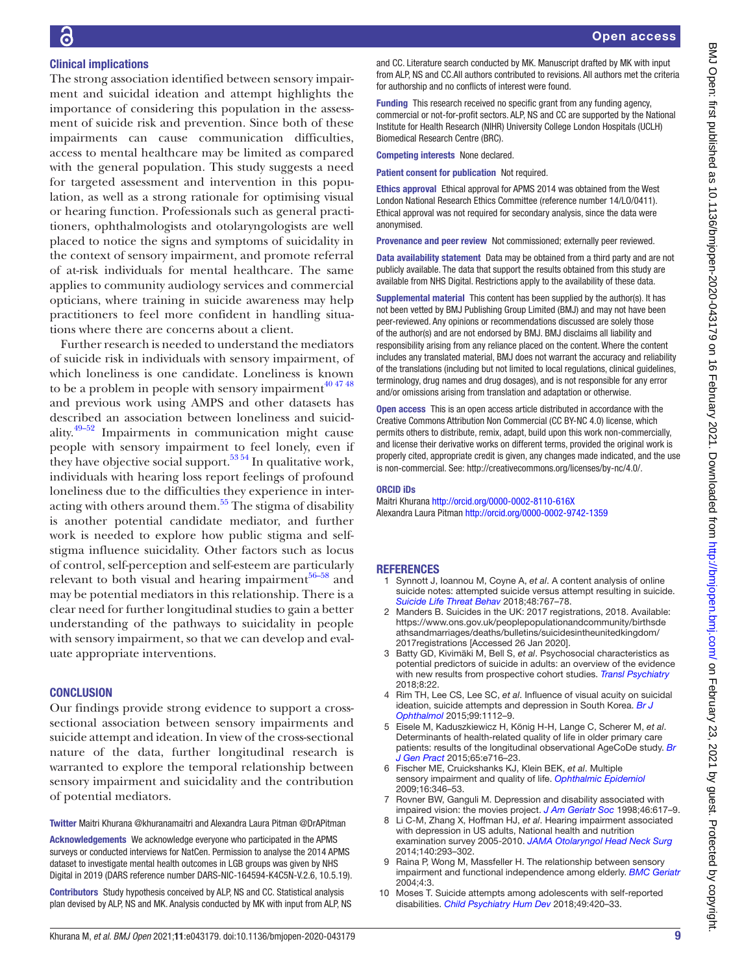# Clinical implications

The strong association identified between sensory impairment and suicidal ideation and attempt highlights the importance of considering this population in the assessment of suicide risk and prevention. Since both of these impairments can cause communication difficulties, access to mental healthcare may be limited as compared with the general population. This study suggests a need for targeted assessment and intervention in this population, as well as a strong rationale for optimising visual or hearing function. Professionals such as general practitioners, ophthalmologists and otolaryngologists are well placed to notice the signs and symptoms of suicidality in the context of sensory impairment, and promote referral of at-risk individuals for mental healthcare. The same applies to community audiology services and commercial opticians, where training in suicide awareness may help practitioners to feel more confident in handling situations where there are concerns about a client.

Further research is needed to understand the mediators of suicide risk in individuals with sensory impairment, of which loneliness is one candidate. Loneliness is known to be a problem in people with sensory impairment $404748$ and previous work using AMPS and other datasets has described an association between loneliness and suicidality. $49-52$  Impairments in communication might cause people with sensory impairment to feel lonely, even if they have objective social support.<sup>53 54</sup> In qualitative work, individuals with hearing loss report feelings of profound loneliness due to the difficulties they experience in interacting with others around them[.55](#page-9-32) The stigma of disability is another potential candidate mediator, and further work is needed to explore how public stigma and selfstigma influence suicidality. Other factors such as locus of control, self-perception and self-esteem are particularly relevant to both visual and hearing impairment $56-58$  and may be potential mediators in this relationship. There is a clear need for further longitudinal studies to gain a better understanding of the pathways to suicidality in people with sensory impairment, so that we can develop and evaluate appropriate interventions.

#### **CONCLUSION**

Our findings provide strong evidence to support a crosssectional association between sensory impairments and suicide attempt and ideation. In view of the cross-sectional nature of the data, further longitudinal research is warranted to explore the temporal relationship between sensory impairment and suicidality and the contribution of potential mediators.

Twitter Maitri Khurana [@khuranamaitri](https://twitter.com/khuranamaitri) and Alexandra Laura Pitman [@DrAPitman](https://twitter.com/DrAPitman)

Acknowledgements We acknowledge everyone who participated in the APMS surveys or conducted interviews for NatCen. Permission to analyse the 2014 APMS dataset to investigate mental health outcomes in LGB groups was given by NHS Digital in 2019 (DARS reference number DARS-NIC-164594-K4C5N-V.2.6, 10.5.19).

Contributors Study hypothesis conceived by ALP, NS and CC. Statistical analysis plan devised by ALP, NS and MK. Analysis conducted by MK with input from ALP, NS and CC. Literature search conducted by MK. Manuscript drafted by MK with input from ALP, NS and CC.All authors contributed to revisions. All authors met the criteria for authorship and no conflicts of interest were found.

Funding This research received no specific grant from any funding agency, commercial or not-for-profit sectors. ALP, NS and CC are supported by the National Institute for Health Research (NIHR) University College London Hospitals (UCLH) Biomedical Research Centre (BRC).

Competing interests None declared.

Patient consent for publication Not required.

Ethics approval Ethical approval for APMS 2014 was obtained from the West London National Research Ethics Committee (reference number 14/LO/0411). Ethical approval was not required for secondary analysis, since the data were anonymised.

Provenance and peer review Not commissioned; externally peer reviewed.

Data availability statement Data may be obtained from a third party and are not publicly available. The data that support the results obtained from this study are available from NHS Digital. Restrictions apply to the availability of these data.

Supplemental material This content has been supplied by the author(s). It has not been vetted by BMJ Publishing Group Limited (BMJ) and may not have been peer-reviewed. Any opinions or recommendations discussed are solely those of the author(s) and are not endorsed by BMJ. BMJ disclaims all liability and responsibility arising from any reliance placed on the content. Where the content includes any translated material, BMJ does not warrant the accuracy and reliability of the translations (including but not limited to local regulations, clinical guidelines, terminology, drug names and drug dosages), and is not responsible for any error and/or omissions arising from translation and adaptation or otherwise.

Open access This is an open access article distributed in accordance with the Creative Commons Attribution Non Commercial (CC BY-NC 4.0) license, which permits others to distribute, remix, adapt, build upon this work non-commercially, and license their derivative works on different terms, provided the original work is properly cited, appropriate credit is given, any changes made indicated, and the use is non-commercial. See: [http://creativecommons.org/licenses/by-nc/4.0/.](http://creativecommons.org/licenses/by-nc/4.0/)

#### ORCID iDs

Maitri Khurana<http://orcid.org/0000-0002-8110-616X> Alexandra Laura Pitman<http://orcid.org/0000-0002-9742-1359>

#### **REFERENCES**

- <span id="page-8-0"></span>1 Synnott J, Ioannou M, Coyne A, *et al*. A content analysis of online suicide notes: attempted suicide versus attempt resulting in suicide. *[Suicide Life Threat Behav](http://dx.doi.org/10.1111/sltb.12398)* 2018;48:767–78.
- <span id="page-8-1"></span>2 Manders B. Suicides in the UK: 2017 registrations, 2018. Available: [https://www.ons.gov.uk/peoplepopulationandcommunity/birthsde](https://www.ons.gov.uk/peoplepopulationandcommunity/birthsdeathsandmarriages/deaths/bulletins/suicidesintheunitedkingdom/2017registrations) [athsandmarriages/deaths/bulletins/suicidesintheunitedkingdom/](https://www.ons.gov.uk/peoplepopulationandcommunity/birthsdeathsandmarriages/deaths/bulletins/suicidesintheunitedkingdom/2017registrations) [2017registrations](https://www.ons.gov.uk/peoplepopulationandcommunity/birthsdeathsandmarriages/deaths/bulletins/suicidesintheunitedkingdom/2017registrations) [Accessed 26 Jan 2020].
- <span id="page-8-2"></span>3 Batty GD, Kivimäki M, Bell S, *et al*. Psychosocial characteristics as potential predictors of suicide in adults: an overview of the evidence with new results from prospective cohort studies. *[Transl Psychiatry](http://dx.doi.org/10.1038/s41398-017-0072-8)* 2018;8:22.
- <span id="page-8-3"></span>4 Rim TH, Lee CS, Lee SC, *et al*. Influence of visual acuity on suicidal ideation, suicide attempts and depression in South Korea. *[Br J](http://dx.doi.org/10.1136/bjophthalmol-2014-306518)  [Ophthalmol](http://dx.doi.org/10.1136/bjophthalmol-2014-306518)* 2015;99:1112–9.
- <span id="page-8-4"></span>5 Eisele M, Kaduszkiewicz H, König H-H, Lange C, Scherer M, *et al*. Determinants of health-related quality of life in older primary care patients: results of the longitudinal observational AgeCoDe study. *[Br](http://dx.doi.org/10.3399/bjgp15X687337)  [J Gen Pract](http://dx.doi.org/10.3399/bjgp15X687337)* 2015;65:e716–23.
- 6 Fischer ME, Cruickshanks KJ, Klein BEK, *et al*. Multiple sensory impairment and quality of life. *[Ophthalmic Epidemiol](http://dx.doi.org/10.3109/09286580903312236)* 2009;16:346–53.
- <span id="page-8-5"></span>7 Rovner BW, Ganguli M. Depression and disability associated with impaired vision: the movies project. *[J Am Geriatr Soc](http://dx.doi.org/10.1111/j.1532-5415.1998.tb01080.x)* 1998;46:617–9.
- 8 Li C-M, Zhang X, Hoffman HJ, *et al*. Hearing impairment associated with depression in US adults, National health and nutrition examination survey 2005-2010. *[JAMA Otolaryngol Head Neck Surg](http://dx.doi.org/10.1001/jamaoto.2014.42)* 2014;140:293–302.
- <span id="page-8-6"></span>Raina P, Wong M, Massfeller H. The relationship between sensory impairment and functional independence among elderly. *[BMC Geriatr](http://dx.doi.org/10.1186/1471-2318-4-3)* 2004;4:3.
- <span id="page-8-7"></span>10 Moses T. Suicide attempts among adolescents with self-reported disabilities. *[Child Psychiatry Hum Dev](http://dx.doi.org/10.1007/s10578-017-0761-9)* 2018;49:420–33.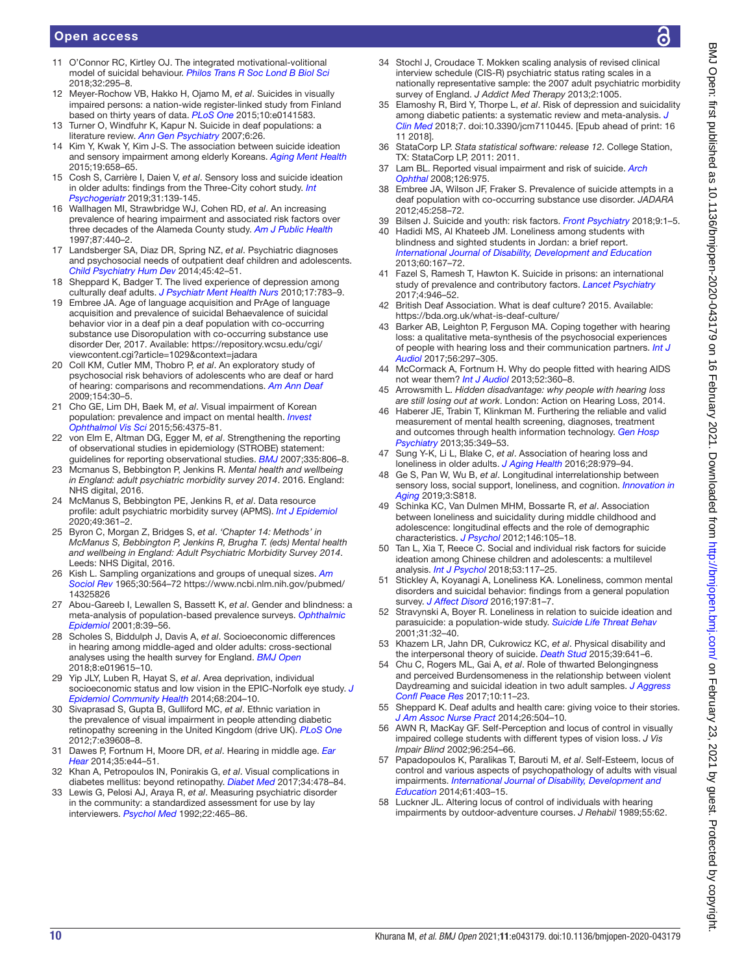### Open access

- <span id="page-9-0"></span>11 O'Connor RC, Kirtley OJ. The integrated motivational-volitional model of suicidal behaviour. *[Philos Trans R Soc Lond B Biol Sci](http://dx.doi.org/10.1027/0227-5910/a000120)* 2018;32:295–8.
- <span id="page-9-1"></span>12 Meyer-Rochow VB, Hakko H, Ojamo M, *et al*. Suicides in visually impaired persons: a nation-wide register-linked study from Finland based on thirty years of data. *[PLoS One](http://dx.doi.org/10.1371/journal.pone.0141583)* 2015;10:e0141583.
- <span id="page-9-2"></span>13 Turner O, Windfuhr K, Kapur N. Suicide in deaf populations: a literature review. *[Ann Gen Psychiatry](http://dx.doi.org/10.1186/1744-859X-6-26)* 2007;6:26.
- <span id="page-9-3"></span>14 Kim Y, Kwak Y, Kim J-S. The association between suicide ideation and sensory impairment among elderly Koreans. *[Aging Ment Health](http://dx.doi.org/10.1080/13607863.2014.989812)* 2015;19:658–65.
- <span id="page-9-4"></span>15 Cosh S, Carrière I, Daien V, *et al*. Sensory loss and suicide ideation in older adults: findings from the Three-City cohort study. *[Int](http://dx.doi.org/10.1017/S104161021800056X)  [Psychogeriatr](http://dx.doi.org/10.1017/S104161021800056X)* 2019;31:139-145.
- <span id="page-9-5"></span>16 Wallhagen MI, Strawbridge WJ, Cohen RD, *et al*. An increasing prevalence of hearing impairment and associated risk factors over three decades of the Alameda County study. *[Am J Public Health](http://dx.doi.org/10.2105/AJPH.87.3.440)* 1997;87:440–2.
- 17 Landsberger SA, Diaz DR, Spring NZ, *et al*. Psychiatric diagnoses and psychosocial needs of outpatient deaf children and adolescents. *[Child Psychiatry Hum Dev](http://dx.doi.org/10.1007/s10578-013-0375-9)* 2014;45:42–51.
- <span id="page-9-22"></span>18 Sheppard K, Badger T. The lived experience of depression among culturally deaf adults. *[J Psychiatr Ment Health Nurs](http://dx.doi.org/10.1111/j.1365-2850.2010.01606.x)* 2010;17:783–9.
- <span id="page-9-21"></span>19 Embree JA. Age of language acquisition and PrAge of language acquisition and prevalence of suicidal Behaevalence of suicidal behavior vior in a deaf pin a deaf population with co-occurring substance use Disoropulation with co-occurring substance use disorder Der, 2017. Available: [https://repository.wcsu.edu/cgi/](https://repository.wcsu.edu/cgi/viewcontent.cgi?article=1029&context=jadara) [viewcontent.cgi?article=1029&context=jadara](https://repository.wcsu.edu/cgi/viewcontent.cgi?article=1029&context=jadara)
- <span id="page-9-6"></span>20 Coll KM, Cutler MM, Thobro P, *et al*. An exploratory study of psychosocial risk behaviors of adolescents who are deaf or hard of hearing: comparisons and recommendations. *[Am Ann Deaf](http://dx.doi.org/10.1353/aad.0.0074)* 2009;154:30–5.
- <span id="page-9-7"></span>21 Cho GE, Lim DH, Baek M, *et al*. Visual impairment of Korean population: prevalence and impact on mental health. *[Invest](http://dx.doi.org/10.1167/iovs.15-16462)  [Ophthalmol Vis Sci](http://dx.doi.org/10.1167/iovs.15-16462)* 2015;56:4375-81.
- <span id="page-9-8"></span>22 von Elm E, Altman DG, Egger M, *et al*. Strengthening the reporting of observational studies in epidemiology (STROBE) statement: guidelines for reporting observational studies. *[BMJ](http://dx.doi.org/10.1136/bmj.39335.541782.AD)* 2007;335:806–8.
- <span id="page-9-9"></span>23 Mcmanus S, Bebbington P, Jenkins R. *[Mental health and wellbeing](http://dx.doi.org/10.1103/PhysRevB.77.235410)  [in England: adult psychiatric morbidity survey 2014](http://dx.doi.org/10.1103/PhysRevB.77.235410)*. 2016. England: NHS digital, 2016.
- <span id="page-9-10"></span>24 McManus S, Bebbington PE, Jenkins R, *et al*. Data resource profile: adult psychiatric morbidity survey (APMS). *[Int J Epidemiol](http://dx.doi.org/10.1093/ije/dyz224)* 2020;49:361–2.
- <span id="page-9-11"></span>25 Byron C, Morgan Z, Bridges S, *et al*. *'Chapter 14: Methods' in McManus S, Bebbington P, Jenkins R, Brugha T. (eds) Mental health and wellbeing in England: Adult Psychiatric Morbidity Survey 2014*. Leeds: NHS Digital, 2016.
- <span id="page-9-12"></span>26 Kish L. Sampling organizations and groups of unequal sizes. *[Am](http://dx.doi.org/10.2307/2091346)  [Sociol Rev](http://dx.doi.org/10.2307/2091346)* 1965;30:564–72 [https://www.ncbi.nlm.nih.gov/pubmed/](https://www.ncbi.nlm.nih.gov/pubmed/14325826) [14325826](https://www.ncbi.nlm.nih.gov/pubmed/14325826)
- <span id="page-9-13"></span>27 Abou-Gareeb I, Lewallen S, Bassett K, *et al*. Gender and blindness: a meta-analysis of population-based prevalence surveys. *[Ophthalmic](http://dx.doi.org/10.1076/opep.8.1.39.1540)  [Epidemiol](http://dx.doi.org/10.1076/opep.8.1.39.1540)* 2001;8:39–56.
- <span id="page-9-14"></span>28 Scholes S, Biddulph J, Davis A, *et al*. Socioeconomic differences in hearing among middle-aged and older adults: cross-sectional analyses using the health survey for England. *[BMJ Open](http://dx.doi.org/10.1136/bmjopen-2017-019615)* 2018;8:e019615–10.
- 29 Yip JLY, Luben R, Hayat S, *et al*. Area deprivation, individual socioeconomic status and low vision in the EPIC-Norfolk eye study. *[J](http://dx.doi.org/10.1136/jech-2013-203265) [Epidemiol Community Health](http://dx.doi.org/10.1136/jech-2013-203265)* 2014;68:204–10.
- <span id="page-9-15"></span>30 Sivaprasad S, Gupta B, Gulliford MC, *et al*. Ethnic variation in the prevalence of visual impairment in people attending diabetic retinopathy screening in the United Kingdom (drive UK). *[PLoS One](http://dx.doi.org/10.1371/journal.pone.0039608)* 2012;7:e39608–8.
- 31 Dawes P, Fortnum H, Moore DR, *et al*. Hearing in middle age. *[Ear](http://dx.doi.org/10.1097/AUD.0000000000000010)  [Hear](http://dx.doi.org/10.1097/AUD.0000000000000010)* 2014;35:e44–51.
- <span id="page-9-16"></span>32 Khan A, Petropoulos IN, Ponirakis G, *et al*. Visual complications in diabetes mellitus: beyond retinopathy. *[Diabet Med](http://dx.doi.org/10.1111/dme.13296)* 2017;34:478–84.
- <span id="page-9-17"></span>33 Lewis G, Pelosi AJ, Araya R, *et al*. Measuring psychiatric disorder in the community: a standardized assessment for use by lay interviewers. *[Psychol Med](http://dx.doi.org/10.1017/S0033291700030415)* 1992;22:465–86.
- 34 Stochl J, Croudace T. Mokken scaling analysis of revised clinical interview schedule (CIS-R) psychiatric status rating scales in a nationally representative sample: the 2007 adult psychiatric morbidity survey of England. *J Addict Med Therapy* 2013;2:1005.
- <span id="page-9-18"></span>35 Elamoshy R, Bird Y, Thorpe L, *et al*. Risk of depression and suicidality among diabetic patients: a systematic review and meta-analysis. *[J](http://dx.doi.org/10.3390/jcm7110445)  [Clin Med](http://dx.doi.org/10.3390/jcm7110445)* 2018;7. doi:10.3390/jcm7110445. [Epub ahead of print: 16 11 2018].
- <span id="page-9-19"></span>36 StataCorp LP. *Stata statistical software: release 12*. College Station, TX: StataCorp LP, 2011: 2011.
- <span id="page-9-20"></span>37 Lam BL. Reported visual impairment and risk of suicide. *[Arch](http://dx.doi.org/10.1001/archopht.126.7.975)  [Ophthal](http://dx.doi.org/10.1001/archopht.126.7.975)* 2008;126:975.
- <span id="page-9-23"></span>38 Embree JA, Wilson JF, Fraker S. Prevalence of suicide attempts in a deaf population with co-occurring substance use disorder. *JADARA* 2012;45:258–72.
- <span id="page-9-24"></span>39 Bilsen J. Suicide and youth: risk factors. *[Front Psychiatry](http://dx.doi.org/10.3389/fpsyt.2018.00540)* 2018;9:1–5. 40 Hadidi MS, Al Khateeb JM. Loneliness among students with
- <span id="page-9-25"></span>blindness and sighted students in Jordan: a brief report. *[International Journal of Disability, Development and Education](http://dx.doi.org/10.1080/1034912X.2012.723949)* 2013;60:167–72.
- <span id="page-9-26"></span>41 Fazel S, Ramesh T, Hawton K. Suicide in prisons: an international study of prevalence and contributory factors. *[Lancet Psychiatry](http://dx.doi.org/10.1016/S2215-0366(17)30430-3)* 2017;4:946–52.
- <span id="page-9-27"></span>42 British Deaf Association. What is deaf culture? 2015. Available: <https://bda.org.uk/what-is-deaf-culture/>
- <span id="page-9-28"></span>43 Barker AB, Leighton P, Ferguson MA. Coping together with hearing loss: a qualitative meta-synthesis of the psychosocial experiences of people with hearing loss and their communication partners. *[Int J](http://dx.doi.org/10.1080/14992027.2017.1286695)  [Audiol](http://dx.doi.org/10.1080/14992027.2017.1286695)* 2017;56:297–305.
- 44 McCormack A, Fortnum H. Why do people fitted with hearing AIDS not wear them? *[Int J Audiol](http://dx.doi.org/10.3109/14992027.2013.769066)* 2013;52:360–8.
- 45 Arrowsmith L. *Hidden disadvantage: why people with hearing loss are still losing out at work*. London: Action on Hearing Loss, 2014.
- <span id="page-9-29"></span>46 Haberer JE, Trabin T, Klinkman M. Furthering the reliable and valid measurement of mental health screening, diagnoses, treatment and outcomes through health information technology. *[Gen Hosp](http://dx.doi.org/10.1016/j.genhosppsych.2013.03.009)  [Psychiatry](http://dx.doi.org/10.1016/j.genhosppsych.2013.03.009)* 2013;35:349–53.
- 47 Sung Y-K, Li L, Blake C, *et al*. Association of hearing loss and loneliness in older adults. *[J Aging Health](http://dx.doi.org/10.1177/0898264315614570)* 2016;28:979–94.
- 48 Ge S, Pan W, Wu B, *et al*. Longitudinal interrelationship between sensory loss, social support, loneliness, and cognition. *[Innovation in](http://dx.doi.org/10.1093/geroni/igz038.3015)  [Aging](http://dx.doi.org/10.1093/geroni/igz038.3015)* 2019;3:S818.
- <span id="page-9-30"></span>49 Schinka KC, Van Dulmen MHM, Bossarte R, *et al*. Association between loneliness and suicidality during middle childhood and adolescence: longitudinal effects and the role of demographic characteristics. *[J Psychol](http://dx.doi.org/10.1080/00223980.2011.584084)* 2012;146:105–18.
- Tan L, Xia T, Reece C. Social and individual risk factors for suicide ideation among Chinese children and adolescents: a multilevel analysis. *[Int J Psychol](http://dx.doi.org/10.1002/ijop.12273)* 2018;53:117–25.
- Stickley A, Koyanagi A, Loneliness KA. Loneliness, common mental disorders and suicidal behavior: findings from a general population survey. *[J Affect Disord](http://dx.doi.org/10.1016/j.jad.2016.02.054)* 2016;197:81–7.
- 52 Stravynski A, Boyer R. Loneliness in relation to suicide ideation and parasuicide: a population-wide study. *[Suicide Life Threat Behav](http://dx.doi.org/10.1521/suli.31.1.32.21312)* 2001;31:32–40.
- <span id="page-9-31"></span>53 Khazem LR, Jahn DR, Cukrowicz KC, *et al*. Physical disability and the interpersonal theory of suicide. *[Death Stud](http://dx.doi.org/10.1080/07481187.2015.1047061)* 2015;39:641–6.
- 54 Chu C, Rogers ML, Gai A, *et al*. Role of thwarted Belongingness and perceived Burdensomeness in the relationship between violent Daydreaming and suicidal ideation in two adult samples. *[J Aggress](http://dx.doi.org/10.1108/JACPR-10-2016-0255)  [Confl Peace Res](http://dx.doi.org/10.1108/JACPR-10-2016-0255)* 2017;10:11–23.
- <span id="page-9-32"></span>Sheppard K. Deaf adults and health care: giving voice to their stories. *[J Am Assoc Nurse Pract](http://dx.doi.org/10.1002/2327-6924.12087)* 2014;26:504–10.
- <span id="page-9-33"></span>56 AWN R, MacKay GF. Self-Perception and locus of control in visually impaired college students with different types of vision loss. *J Vis Impair Blind* 2002;96:254–66.
- 57 Papadopoulos K, Paralikas T, Barouti M, *et al*. Self-Esteem, locus of control and various aspects of psychopathology of adults with visual impairments. *[International Journal of Disability, Development and](http://dx.doi.org/10.1080/1034912X.2014.955785)  [Education](http://dx.doi.org/10.1080/1034912X.2014.955785)* 2014;61:403–15.
- Luckner JL. Altering locus of control of individuals with hearing impairments by outdoor-adventure courses. *J Rehabil* 1989;55:62.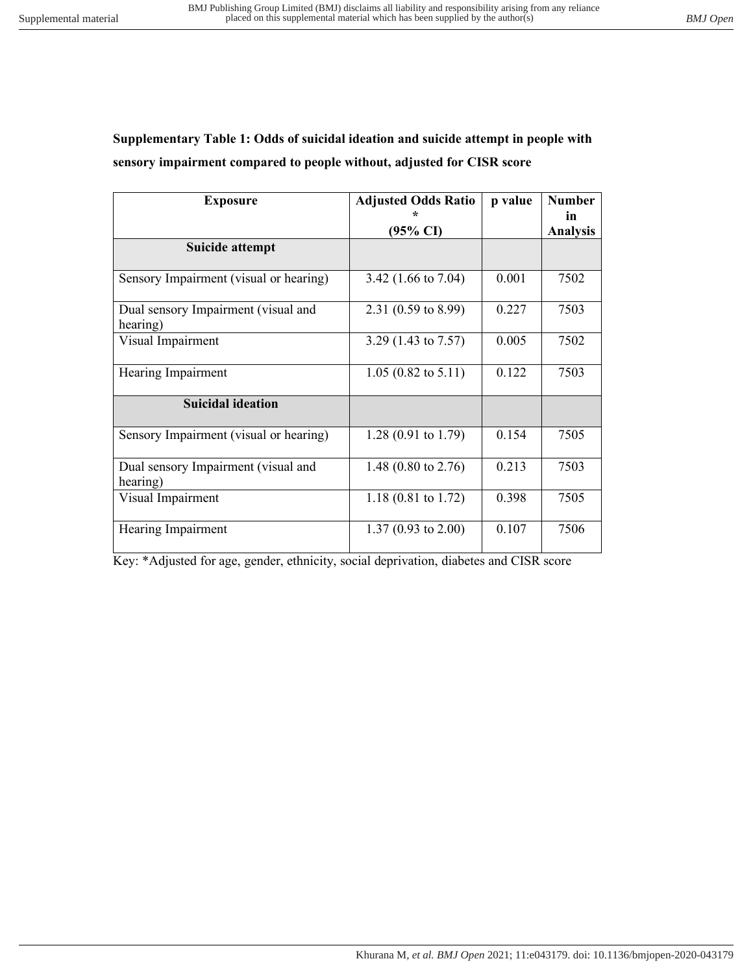# **Supplementary Table 1: Odds of suicidal ideation and suicide attempt in people with sensory impairment compared to people without, adjusted for CISR score**

| <b>Exposure</b>                                 | <b>Adjusted Odds Ratio</b>     | p value | <b>Number</b>         |
|-------------------------------------------------|--------------------------------|---------|-----------------------|
|                                                 | $(95\% \text{ CI})$            |         | in<br><b>Analysis</b> |
| <b>Suicide attempt</b>                          |                                |         |                       |
| Sensory Impairment (visual or hearing)          | 3.42 $(1.66 \text{ to } 7.04)$ | 0.001   | 7502                  |
| Dual sensory Impairment (visual and<br>hearing) | 2.31 (0.59 to 8.99)            | 0.227   | 7503                  |
| Visual Impairment                               | 3.29 (1.43 to 7.57)            | 0.005   | 7502                  |
| Hearing Impairment                              | $1.05(0.82 \text{ to } 5.11)$  | 0.122   | 7503                  |
| <b>Suicidal ideation</b>                        |                                |         |                       |
| Sensory Impairment (visual or hearing)          | 1.28 $(0.91$ to 1.79)          | 0.154   | 7505                  |
| Dual sensory Impairment (visual and<br>hearing) | 1.48 $(0.80 \text{ to } 2.76)$ | 0.213   | 7503                  |
| Visual Impairment                               | 1.18 $(0.81 \text{ to } 1.72)$ | 0.398   | 7505                  |
| Hearing Impairment                              | 1.37 (0.93 to 2.00)            | 0.107   | 7506                  |

Key: \*Adjusted for age, gender, ethnicity, social deprivation, diabetes and CISR score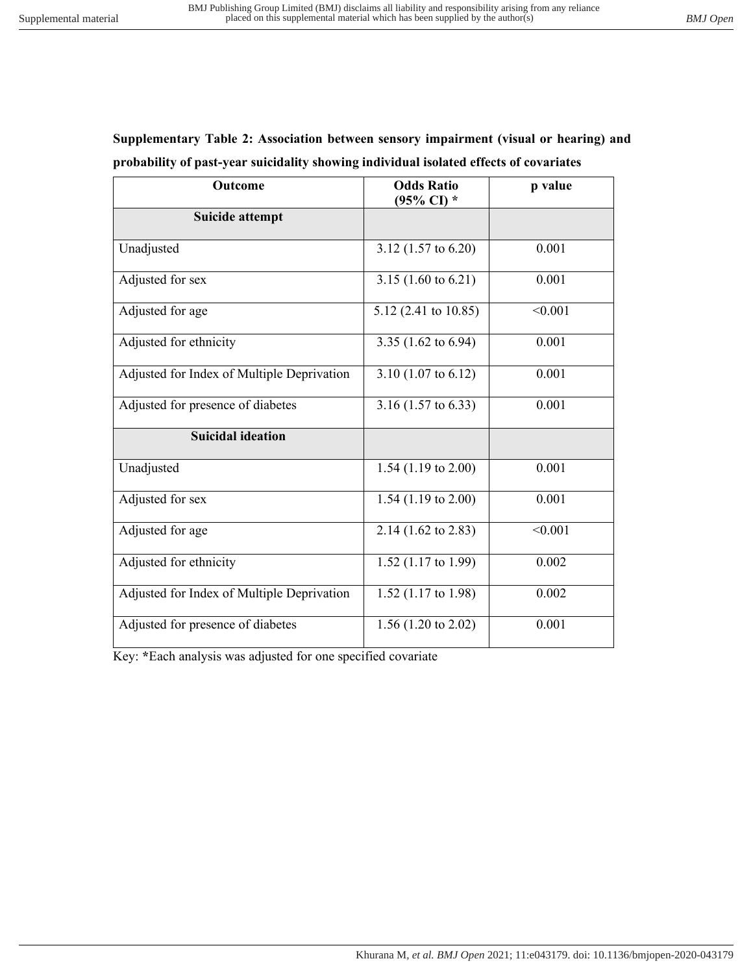| Supplementary Table 2: Association between sensory impairment (visual or hearing) and  |  |  |  |  |
|----------------------------------------------------------------------------------------|--|--|--|--|
| probability of past-year suicidality showing individual isolated effects of covariates |  |  |  |  |

| Outcome                                    | <b>Odds Ratio</b><br>$(95\% \text{ CI})$ * | p value |
|--------------------------------------------|--------------------------------------------|---------|
| Suicide attempt                            |                                            |         |
| Unadjusted                                 | 3.12 $(1.57 \text{ to } 6.20)$             | 0.001   |
| Adjusted for sex                           | 3.15 $(1.60 \text{ to } 6.21)$             | 0.001   |
| Adjusted for age                           | 5.12 (2.41 to 10.85)                       | < 0.001 |
| Adjusted for ethnicity                     | 3.35 (1.62 to 6.94)                        | 0.001   |
| Adjusted for Index of Multiple Deprivation | 3.10 $(1.07 \text{ to } 6.12)$             | 0.001   |
| Adjusted for presence of diabetes          | 3.16 $(1.57 \text{ to } 6.33)$             | 0.001   |
| <b>Suicidal ideation</b>                   |                                            |         |
| Unadjusted                                 | 1.54 $(1.19 \text{ to } 2.00)$             | 0.001   |
| Adjusted for sex                           | 1.54 $(1.19 \text{ to } 2.00)$             | 0.001   |
| Adjusted for age                           | 2.14 (1.62 to 2.83)                        | < 0.001 |
| Adjusted for ethnicity                     | 1.52 (1.17 to 1.99)                        | 0.002   |
| Adjusted for Index of Multiple Deprivation | 1.52 $(1.17 \text{ to } 1.98)$             | 0.002   |
| Adjusted for presence of diabetes          | 1.56 $(1.20 \text{ to } 2.02)$             | 0.001   |

Key: **\***Each analysis was adjusted for one specified covariate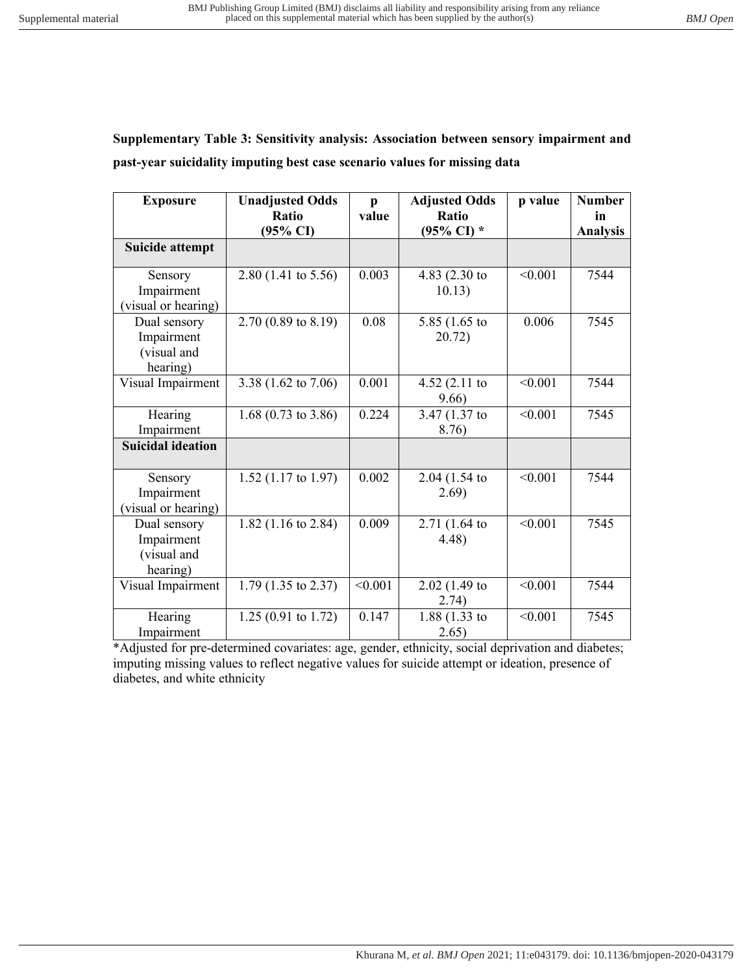**Supplementary Table 3: Sensitivity analysis: Association between sensory impairment and past-year suicidality imputing best case scenario values for missing data** 

| <b>Exposure</b>                                       | <b>Unadjusted Odds</b><br>Ratio<br>$(95\% \text{ CI})$ | $\mathbf{p}$<br>value | <b>Adjusted Odds</b><br>Ratio<br>$(95\% \text{ CI})$ * | p value | <b>Number</b><br>in<br><b>Analysis</b> |
|-------------------------------------------------------|--------------------------------------------------------|-----------------------|--------------------------------------------------------|---------|----------------------------------------|
| <b>Suicide attempt</b>                                |                                                        |                       |                                                        |         |                                        |
| Sensory<br>Impairment<br>(visual or hearing)          | $2.80$ (1.41 to 5.56)                                  | 0.003                 | 4.83 (2.30 to<br>10.13)                                | < 0.001 | 7544                                   |
| Dual sensory<br>Impairment<br>(visual and<br>hearing) | 2.70 (0.89 to 8.19)                                    | 0.08                  | 5.85 $(1.65)$ to<br>20.72)                             | 0.006   | 7545                                   |
| Visual Impairment                                     | 3.38 (1.62 to 7.06)                                    | 0.001                 | 4.52 $(2.11)$ to<br>9.66                               | < 0.001 | 7544                                   |
| Hearing<br>Impairment                                 | 1.68 $(0.73 \text{ to } 3.86)$                         | 0.224                 | 3.47 (1.37 to<br>8.76)                                 | < 0.001 | 7545                                   |
| <b>Suicidal ideation</b>                              |                                                        |                       |                                                        |         |                                        |
| Sensory<br>Impairment<br>visual or hearing)           | $1.52$ (1.17 to 1.97)                                  | 0.002                 | 2.04(1.54)<br>2.69)                                    | < 0.001 | 7544                                   |
| Dual sensory<br>Impairment<br>(visual and<br>hearing) | 1.82 $(1.16 \text{ to } 2.84)$                         | 0.009                 | 2.71 (1.64 to<br>4.48)                                 | < 0.001 | 7545                                   |
| Visual Impairment                                     | 1.79 $(1.35 \text{ to } 2.37)$                         | < 0.001               | $2.02$ (1.49 to<br>2.74)                               | < 0.001 | 7544                                   |
| Hearing<br>Impairment                                 | $1.25(0.91 \text{ to } 1.72)$                          | 0.147                 | $1.88(1.33)$ to<br>2.65)                               | < 0.001 | 7545                                   |

\*Adjusted for pre-determined covariates: age, gender, ethnicity, social deprivation and diabetes; imputing missing values to reflect negative values for suicide attempt or ideation, presence of diabetes, and white ethnicity